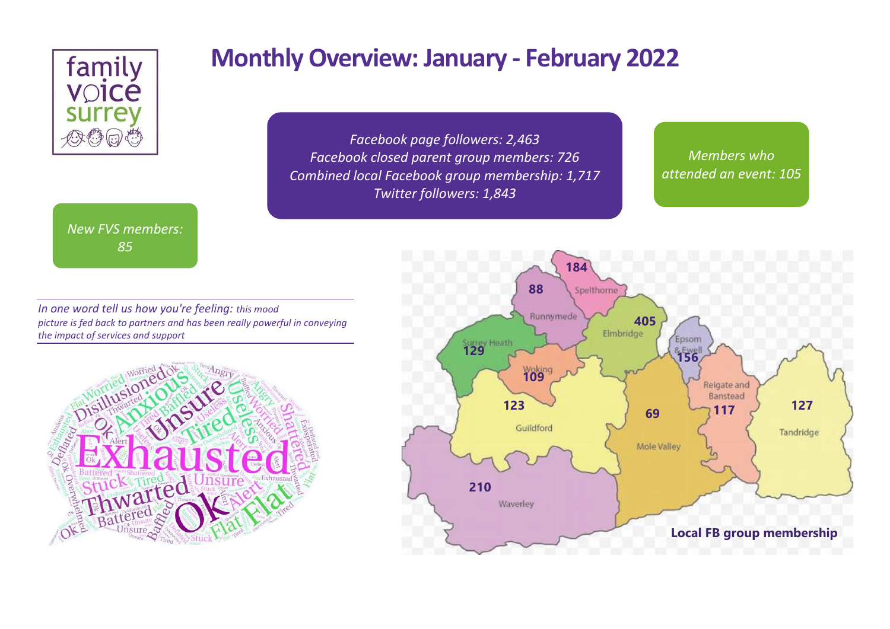

### *New FVS members: 85*

# **Monthly Overview: January - February 2022**

*Facebook page followers: 2,463 Facebook closed parent group members: 726 Combined local Facebook group membership: 1,717 Twitter followers: 1,843*

*Members who attended an event: 105*

*In one word tell us how you're feeling: this mood picture is fed back to partners and has been really powerful in conveying the impact of services and support*



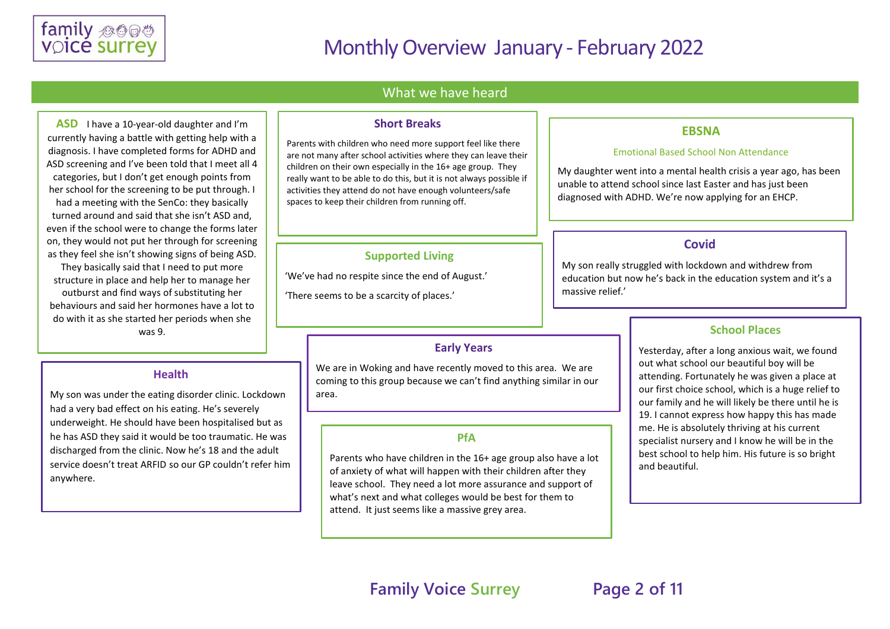

#### What we have heard

**ASD** I have a 10-year-old daughter and I'm currently having a battle with getting help with a diagnosis. I have completed forms for ADHD and ASD screening and I've been told that I meet all 4 categories, but I don't get enough points from her school for the screening to be put through. I had a meeting with the SenCo: they basically turned around and said that she isn't ASD and, even if the school were to change the forms later on, they would not put her through for screening as they feel she isn't showing signs of being ASD.

They basically said that I need to put more structure in place and help her to manage her outburst and find ways of substituting her behaviours and said her hormones have a lot to do with it as she started her periods when she was 9.

#### **Health**

My son was under the eating disorder clinic. Lockdown had a very bad effect on his eating. He's severely underweight. He should have been hospitalised but as he has ASD they said it would be too traumatic. He was discharged from the clinic. Now he's 18 and the adult service doesn't treat ARFID so our GP couldn't refer him anywhere.

#### **Short Breaks**

Parents with children who need more support feel like there are not many after school activities where they can leave their children on their own especially in the 16+ age group. They really want to be able to do this, but it is not always possible if activities they attend do not have enough volunteers/safe spaces to keep their children from running off.

#### **Supported Living**

'We've had no respite since the end of August.' 'There seems to be a scarcity of places.'

#### **Early Years**

We are in Woking and have recently moved to this area. We are coming to this group because we can't find anything similar in our area.

#### **PfA**

Parents who have children in the 16+ age group also have a lot of anxiety of what will happen with their children after they leave school. They need a lot more assurance and support of what's next and what colleges would be best for them to attend. It just seems like a massive grey area.

#### **EBSNA**

#### Emotional Based School Non Attendance

My daughter went into a mental health crisis a year ago, has been unable to attend school since last Easter and has just been diagnosed with ADHD. We're now applying for an EHCP.

#### **Covid**

My son really struggled with lockdown and withdrew from education but now he's back in the education system and it's a massive relief.'

#### **School Places**

Yesterday, after a long anxious wait, we found out what school our beautiful boy will be attending. Fortunately he was given a place at our first choice school, which is a huge relief to our family and he will likely be there until he is 19. I cannot express how happy this has made me. He is absolutely thriving at his current specialist nursery and I know he will be in the best school to help him. His future is so bright and beautiful.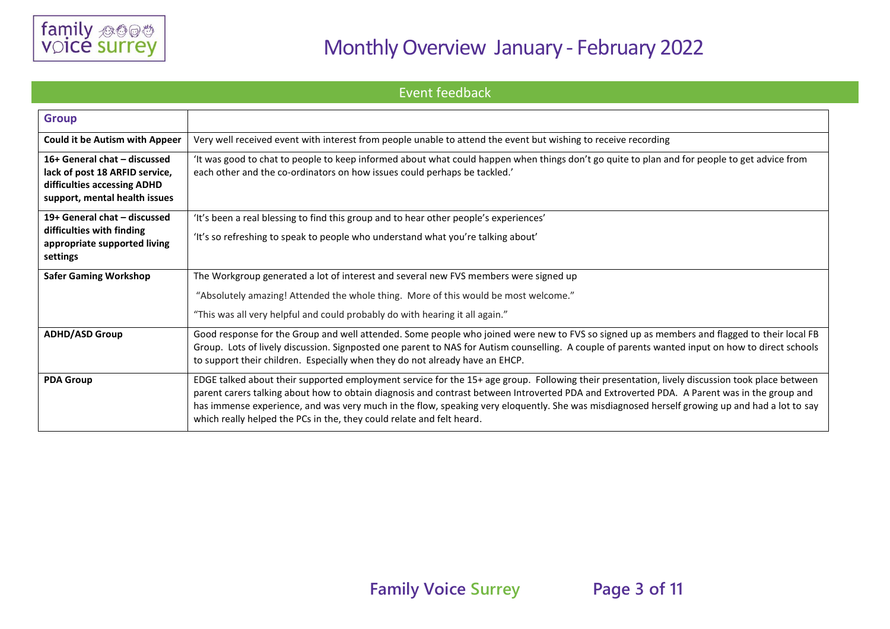

Event feedback

| <b>Group</b>                                                                                                                   |                                                                                                                                                                                                                                                                                                                                                                                                                                                                                                                         |
|--------------------------------------------------------------------------------------------------------------------------------|-------------------------------------------------------------------------------------------------------------------------------------------------------------------------------------------------------------------------------------------------------------------------------------------------------------------------------------------------------------------------------------------------------------------------------------------------------------------------------------------------------------------------|
| <b>Could it be Autism with Appeer</b>                                                                                          | Very well received event with interest from people unable to attend the event but wishing to receive recording                                                                                                                                                                                                                                                                                                                                                                                                          |
| 16+ General chat - discussed<br>lack of post 18 ARFID service,<br>difficulties accessing ADHD<br>support, mental health issues | It was good to chat to people to keep informed about what could happen when things don't go quite to plan and for people to get advice from<br>each other and the co-ordinators on how issues could perhaps be tackled.'                                                                                                                                                                                                                                                                                                |
| 19+ General chat - discussed                                                                                                   | 'It's been a real blessing to find this group and to hear other people's experiences'                                                                                                                                                                                                                                                                                                                                                                                                                                   |
| difficulties with finding<br>appropriate supported living<br>settings                                                          | 'It's so refreshing to speak to people who understand what you're talking about'                                                                                                                                                                                                                                                                                                                                                                                                                                        |
| <b>Safer Gaming Workshop</b>                                                                                                   | The Workgroup generated a lot of interest and several new FVS members were signed up                                                                                                                                                                                                                                                                                                                                                                                                                                    |
|                                                                                                                                | "Absolutely amazing! Attended the whole thing. More of this would be most welcome."                                                                                                                                                                                                                                                                                                                                                                                                                                     |
|                                                                                                                                | "This was all very helpful and could probably do with hearing it all again."                                                                                                                                                                                                                                                                                                                                                                                                                                            |
| <b>ADHD/ASD Group</b>                                                                                                          | Good response for the Group and well attended. Some people who joined were new to FVS so signed up as members and flagged to their local FB<br>Group. Lots of lively discussion. Signposted one parent to NAS for Autism counselling. A couple of parents wanted input on how to direct schools<br>to support their children. Especially when they do not already have an EHCP.                                                                                                                                         |
| <b>PDA Group</b>                                                                                                               | EDGE talked about their supported employment service for the 15+ age group. Following their presentation, lively discussion took place between<br>parent carers talking about how to obtain diagnosis and contrast between Introverted PDA and Extroverted PDA. A Parent was in the group and<br>has immense experience, and was very much in the flow, speaking very eloquently. She was misdiagnosed herself growing up and had a lot to say<br>which really helped the PCs in the, they could relate and felt heard. |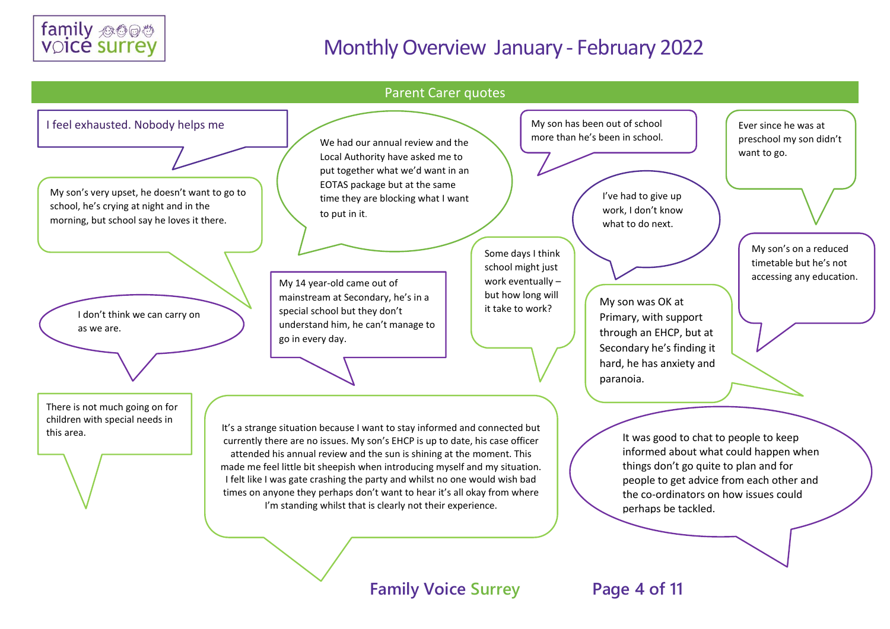



## **Family Voice Surrey Page 4 of 11**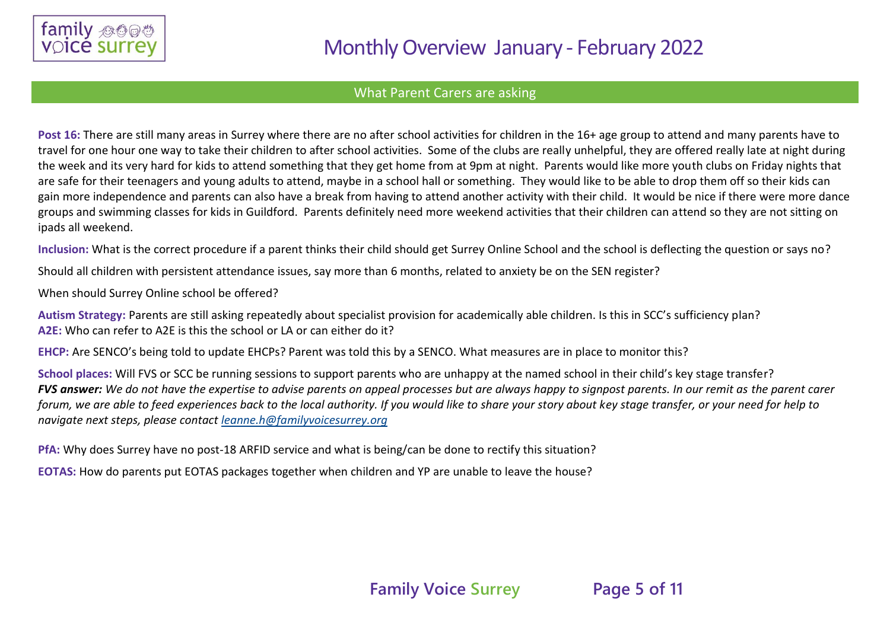

### What Parent Carers are asking

Post 16: There are still many areas in Surrey where there are no after school activities for children in the 16+ age group to attend and many parents have to travel for one hour one way to take their children to after school activities. Some of the clubs are really unhelpful, they are offered really late at night during the week and its very hard for kids to attend something that they get home from at 9pm at night. Parents would like more youth clubs on Friday nights that are safe for their teenagers and young adults to attend, maybe in a school hall or something. They would like to be able to drop them off so their kids can gain more independence and parents can also have a break from having to attend another activity with their child. It would be nice if there were more dance groups and swimming classes for kids in Guildford. Parents definitely need more weekend activities that their children can attend so they are not sitting on ipads all weekend.

**Inclusion:** What is the correct procedure if a parent thinks their child should get Surrey Online School and the school is deflecting the question or says no?

Should all children with persistent attendance issues, say more than 6 months, related to anxiety be on the SEN register?

When should Surrey Online school be offered?

**Autism Strategy:** Parents are still asking repeatedly about specialist provision for academically able children. Is this in SCC's sufficiency plan? **A2E:** Who can refer to A2E is this the school or LA or can either do it?

**EHCP:** Are SENCO's being told to update EHCPs? Parent was told this by a SENCO. What measures are in place to monitor this?

**School places:** Will FVS or SCC be running sessions to support parents who are unhappy at the named school in their child's key stage transfer? *FVS answer: We do not have the expertise to advise parents on appeal processes but are always happy to signpost parents. In our remit as the parent carer forum, we are able to feed experiences back to the local authority. If you would like to share your story about key stage transfer, or your need for help to navigate next steps, please contact [leanne.h@familyvoicesurrey.org](mailto:leanne.h@familyvoicesurrey.org)*

**PfA:** Why does Surrey have no post-18 ARFID service and what is being/can be done to rectify this situation?

**EOTAS:** How do parents put EOTAS packages together when children and YP are unable to leave the house?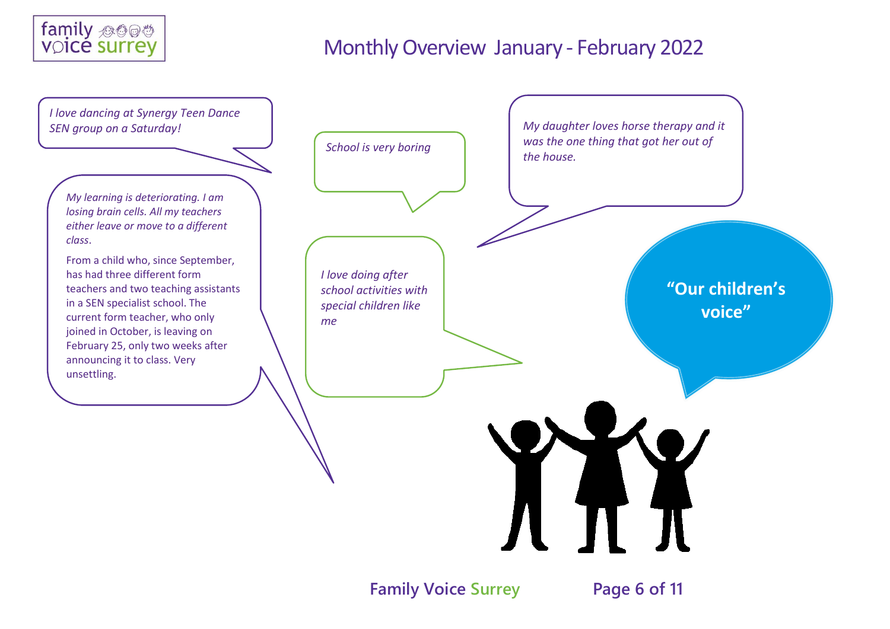



### **Family Voice Surrey Page 6 of 11**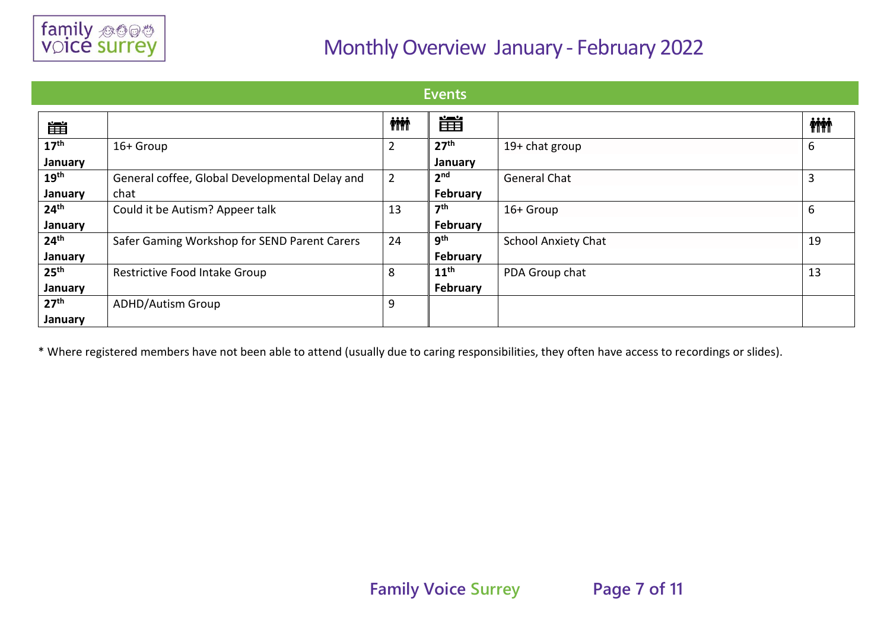

| Events           |                                                |                |                  |                            |            |
|------------------|------------------------------------------------|----------------|------------------|----------------------------|------------|
| 當                |                                                | <b>iii</b>     | 當                |                            | <b>iii</b> |
| 17 <sup>th</sup> | 16+ Group                                      | $\overline{2}$ | 27 <sup>th</sup> | 19+ chat group             | 6          |
| January          |                                                |                | January          |                            |            |
| 19 <sup>th</sup> | General coffee, Global Developmental Delay and | $\overline{2}$ | 2 <sub>nd</sub>  | <b>General Chat</b>        | 3          |
| January          | chat                                           |                | February         |                            |            |
| 24 <sup>th</sup> | Could it be Autism? Appeer talk                | 13             | 7 <sup>th</sup>  | 16+ Group                  | 6          |
| January          |                                                |                | <b>February</b>  |                            |            |
| 24 <sup>th</sup> | Safer Gaming Workshop for SEND Parent Carers   | 24             | <b>gth</b>       | <b>School Anxiety Chat</b> | 19         |
| January          |                                                |                | February         |                            |            |
| 25 <sup>th</sup> | Restrictive Food Intake Group                  | 8              | 11 <sup>th</sup> | PDA Group chat             | 13         |
| January          |                                                |                | February         |                            |            |
| 27 <sup>th</sup> | <b>ADHD/Autism Group</b>                       | 9              |                  |                            |            |
| January          |                                                |                |                  |                            |            |

\* Where registered members have not been able to attend (usually due to caring responsibilities, they often have access to recordings or slides).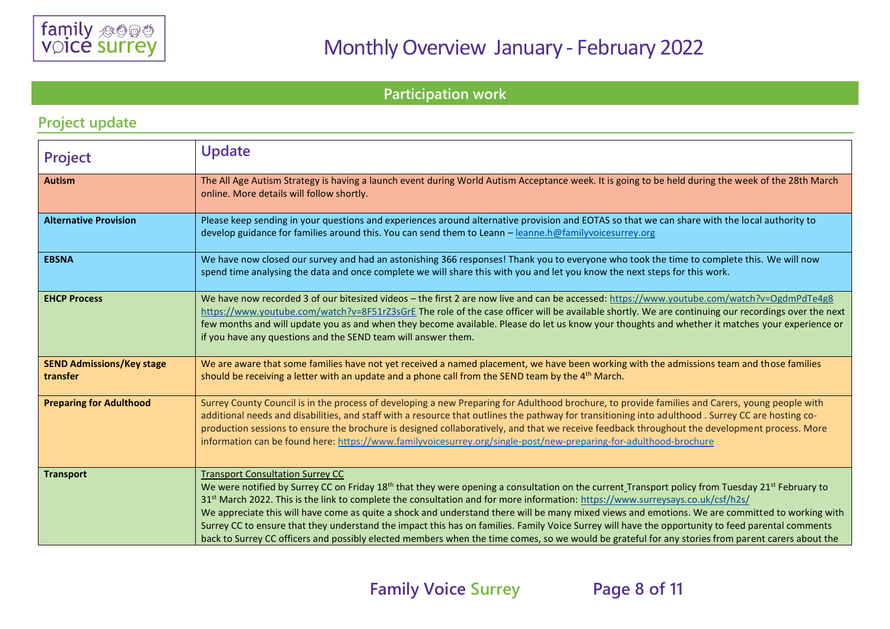

**Participation work** 

### **Project update**

| Project                                      | <b>Update</b>                                                                                                                                                                                                                                                                                                                                                                                                                                                                                                                                                                                                                                                                                                                                                                                                      |
|----------------------------------------------|--------------------------------------------------------------------------------------------------------------------------------------------------------------------------------------------------------------------------------------------------------------------------------------------------------------------------------------------------------------------------------------------------------------------------------------------------------------------------------------------------------------------------------------------------------------------------------------------------------------------------------------------------------------------------------------------------------------------------------------------------------------------------------------------------------------------|
| <b>Autism</b>                                | The All Age Autism Strategy is having a launch event during World Autism Acceptance week. It is going to be held during the week of the 28th March<br>online. More details will follow shortly.                                                                                                                                                                                                                                                                                                                                                                                                                                                                                                                                                                                                                    |
| <b>Alternative Provision</b>                 | Please keep sending in your questions and experiences around alternative provision and EOTAS so that we can share with the local authority to<br>develop guidance for families around this. You can send them to Leann - leanne.h@familyvoicesurrey.org                                                                                                                                                                                                                                                                                                                                                                                                                                                                                                                                                            |
| <b>EBSNA</b>                                 | We have now closed our survey and had an astonishing 366 responses! Thank you to everyone who took the time to complete this. We will now<br>spend time analysing the data and once complete we will share this with you and let you know the next steps for this work.                                                                                                                                                                                                                                                                                                                                                                                                                                                                                                                                            |
| <b>EHCP Process</b>                          | We have now recorded 3 of our bitesized videos - the first 2 are now live and can be accessed: https://www.youtube.com/watch?v=OgdmPdTe4g8<br>https://www.youtube.com/watch?v=8F51rZ3sGrE The role of the case officer will be available shortly. We are continuing our recordings over the next<br>few months and will update you as and when they become available. Please do let us know your thoughts and whether it matches your experience or<br>if you have any questions and the SEND team will answer them.                                                                                                                                                                                                                                                                                               |
| <b>SEND Admissions/Key stage</b><br>transfer | We are aware that some families have not yet received a named placement, we have been working with the admissions team and those families<br>should be receiving a letter with an update and a phone call from the SEND team by the 4 <sup>th</sup> March.                                                                                                                                                                                                                                                                                                                                                                                                                                                                                                                                                         |
| <b>Preparing for Adulthood</b>               | Surrey County Council is in the process of developing a new Preparing for Adulthood brochure, to provide families and Carers, young people with<br>additional needs and disabilities, and staff with a resource that outlines the pathway for transitioning into adulthood. Surrey CC are hosting co-<br>production sessions to ensure the brochure is designed collaboratively, and that we receive feedback throughout the development process. More<br>information can be found here: https://www.familyvoicesurrey.org/single-post/new-preparing-for-adulthood-brochure                                                                                                                                                                                                                                        |
| <b>Transport</b>                             | <b>Transport Consultation Surrey CC</b><br>We were notified by Surrey CC on Friday 18 <sup>th</sup> that they were opening a consultation on the current Transport policy from Tuesday 21 <sup>st</sup> February to<br>31st March 2022. This is the link to complete the consultation and for more information: https://www.surreysays.co.uk/csf/h2s/<br>We appreciate this will have come as quite a shock and understand there will be many mixed views and emotions. We are committed to working with<br>Surrey CC to ensure that they understand the impact this has on families. Family Voice Surrey will have the opportunity to feed parental comments<br>back to Surrey CC officers and possibly elected members when the time comes, so we would be grateful for any stories from parent carers about the |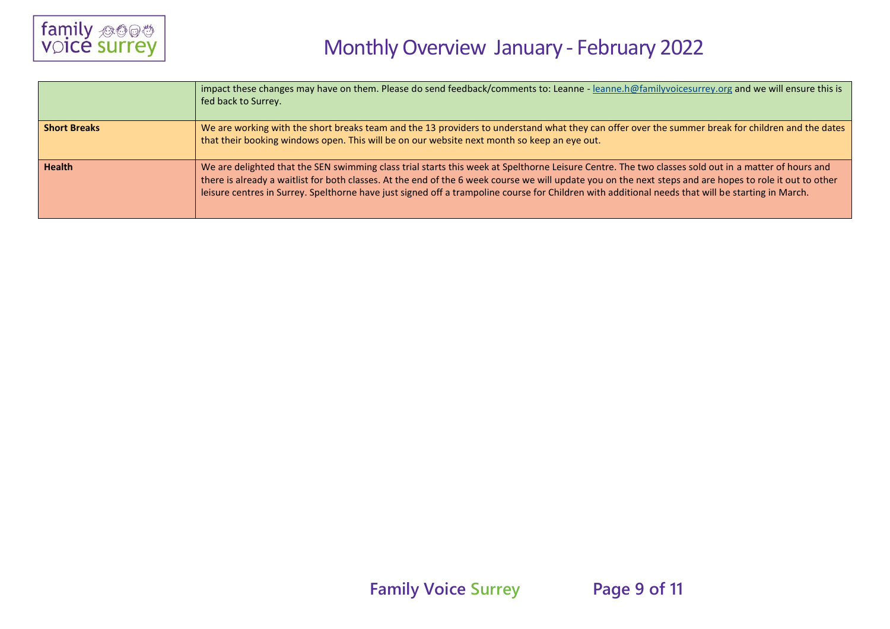

|                     | impact these changes may have on them. Please do send feedback/comments to: Leanne - leanne.h@familyvoicesurrey.org and we will ensure this is<br>fed back to Surrey.                                                                                                                                                                                                                                                                                                |
|---------------------|----------------------------------------------------------------------------------------------------------------------------------------------------------------------------------------------------------------------------------------------------------------------------------------------------------------------------------------------------------------------------------------------------------------------------------------------------------------------|
| <b>Short Breaks</b> | We are working with the short breaks team and the 13 providers to understand what they can offer over the summer break for children and the dates<br>that their booking windows open. This will be on our website next month so keep an eye out.                                                                                                                                                                                                                     |
| <b>Health</b>       | We are delighted that the SEN swimming class trial starts this week at Spelthorne Leisure Centre. The two classes sold out in a matter of hours and<br>there is already a waitlist for both classes. At the end of the 6 week course we will update you on the next steps and are hopes to role it out to other<br>leisure centres in Surrey. Spelthorne have just signed off a trampoline course for Children with additional needs that will be starting in March. |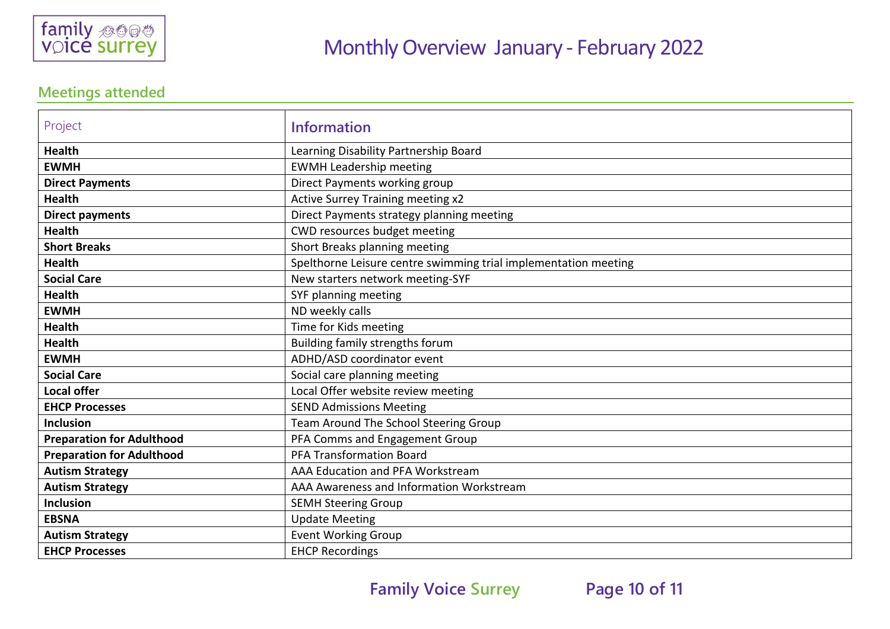

### **Meetings attended**

| Project                          | <b>Information</b>                                              |  |
|----------------------------------|-----------------------------------------------------------------|--|
| <b>Health</b>                    | Learning Disability Partnership Board                           |  |
| <b>EWMH</b>                      | <b>EWMH Leadership meeting</b>                                  |  |
| <b>Direct Payments</b>           | Direct Payments working group                                   |  |
| <b>Health</b>                    | Active Surrey Training meeting x2                               |  |
| <b>Direct payments</b>           | Direct Payments strategy planning meeting                       |  |
| <b>Health</b>                    | CWD resources budget meeting                                    |  |
| <b>Short Breaks</b>              | Short Breaks planning meeting                                   |  |
| <b>Health</b>                    | Spelthorne Leisure centre swimming trial implementation meeting |  |
| <b>Social Care</b>               | New starters network meeting-SYF                                |  |
| <b>Health</b>                    | SYF planning meeting                                            |  |
| <b>EWMH</b>                      | ND weekly calls                                                 |  |
| <b>Health</b>                    | Time for Kids meeting                                           |  |
| <b>Health</b>                    | Building family strengths forum                                 |  |
| <b>EWMH</b>                      | ADHD/ASD coordinator event                                      |  |
| <b>Social Care</b>               | Social care planning meeting                                    |  |
| <b>Local offer</b>               | Local Offer website review meeting                              |  |
| <b>EHCP Processes</b>            | <b>SEND Admissions Meeting</b>                                  |  |
| <b>Inclusion</b>                 | Team Around The School Steering Group                           |  |
| <b>Preparation for Adulthood</b> | PFA Comms and Engagement Group                                  |  |
| <b>Preparation for Adulthood</b> | <b>PFA Transformation Board</b>                                 |  |
| <b>Autism Strategy</b>           | AAA Education and PFA Workstream                                |  |
| <b>Autism Strategy</b>           | AAA Awareness and Information Workstream                        |  |
| <b>Inclusion</b>                 | <b>SEMH Steering Group</b>                                      |  |
| <b>EBSNA</b>                     | <b>Update Meeting</b>                                           |  |
| <b>Autism Strategy</b>           | <b>Event Working Group</b>                                      |  |
| <b>EHCP Processes</b>            | <b>EHCP Recordings</b>                                          |  |